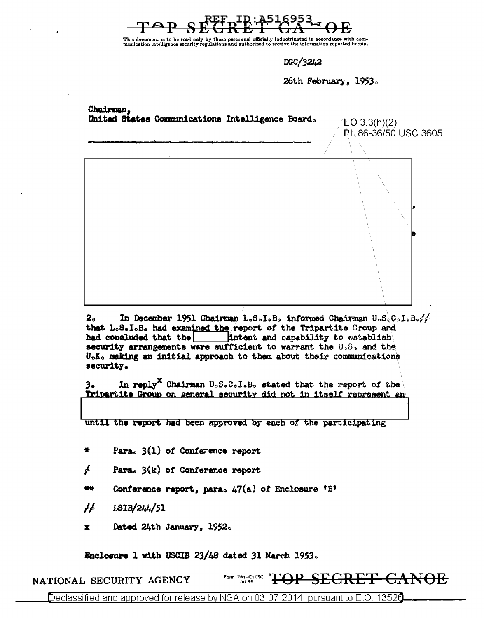This document is to be read only by those personnel officially indoctrinated in accordance with com-<br>munication intelligence security regulations and authorized to receive the information reported herein.

DGC/3242

26th February, 1953.

Chairman. United States Communications Intelligence Board.  $EO 3.3(h)(2)$ PL 86-36/50 USC 3605  $2<sub>n</sub>$ In December 1951 Chairman L.S.I.B. informed Chairman U.S.C.I.B. $\frac{1}{2}$ that L.S.I.B. had examined the report of the Tripartite Group and had concluded that the intent and capability to establish security arrangements were sufficient to warrant the U.S. and the U.K. making an initial approach to them about their communications security. In reply<sup>X</sup> Chairman U<sub>s</sub>S.C.I.B. stated that the report of the 3. Tripartite Group on general security did not in itself represent an

until the report had been approved by each of the participating

Para.  $3(1)$  of Conference report

 $\overline{A}$ Para,  $3(k)$  of Conference report

Conference report, para. 47(a) of Enclosure 'B' 44

 $\cancel{11}$ 1SIB/244/51

 $\mathbf{x}$ Dated 24th January, 1952.

Enclosure 1 with USCIB 23/48 dated 31 March 1953.

Form 781-C1052 TOP SEGRET GANOE NATIONAL SECURITY AGENCY

Declassified and approved for release by NSA on 03-07-2014 pursuant to E.O. 13526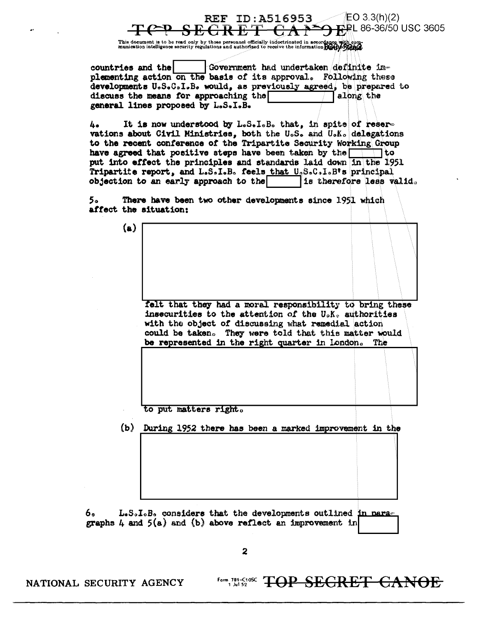## $EO 3.3(h)(2)$ **REF ID:A516953** p⊉L 86-36/50 USC 3605 <del>GRET</del>

This document is to be read only by those personnel officially indoctrinated in accordance with com-<br>munication intelligence security regulations and authorized to receive the information purchy of the state of

Government had undertaken definite imcountries and the plementing action on the basis of its approval. Following these developments U.S.C.I.B. would, as previously agreed, be prepared to discuss the means for approaching the along the general lines proposed by L.S.I.B.

It is now understood by L.S.I.B. that, in spits of reser-**L**. vations about Civil Ministries, both the U.S. and U.K. delegations to the recent conference of the Tripartite Security Working Group have agreed that positive steps have been taken by the the to put into effect the principles and standards laid down in the 1951 Tripartite report, and L.S.I.B. feels that U.S.C.I.B's principal objection to an early approach to the is therefore less valid.

There have been two other developments since 1951 which 5. affect the situation:

> felt that they had a moral responsibility to bring these insecurities to the attention of the U.K. authorities with the object of discussing what remedial action could be taken. They were told that this matter would be represented in the right quarter in London. The

to put matters right.

(b) During 1952 there has been a marked improvement in the

L.S.I.B. considers that the developments outlined in nara-6. graphs 4 and  $5(a)$  and (b) above reflect an improvement in

 $\overline{\mathbf{z}}$ 

NATIONAL SECURITY AGENCY

 $(a)$ 

Form 781-C1052 TOP SEGRET CANOE